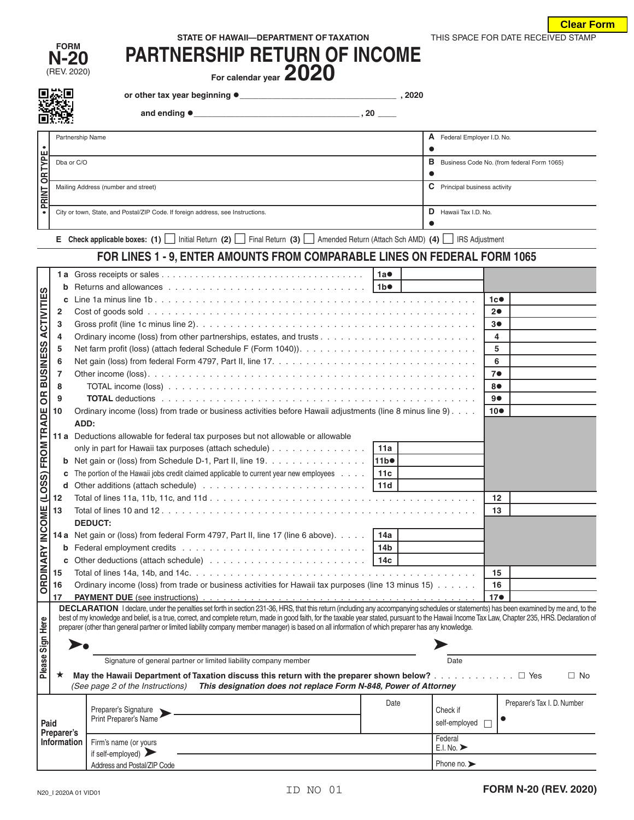| THIS SPACE FOR DATE RECEIVED STAMP<br>STATE OF HAWAII-DEPARTMENT OF TAXATION |  |
|------------------------------------------------------------------------------|--|
|------------------------------------------------------------------------------|--|

**Clear Form**

| FORM            |  |
|-----------------|--|
| <b>N-2</b><br>O |  |
| REV. 2020)      |  |

| FURM<br>$N-20$                      | <b>PARTNERSHIP RETURN OF INCOME</b> |
|-------------------------------------|-------------------------------------|
| $T$ $T$ $T$ $R$ $R$ $R$ $R$ $R$ $R$ | nnnn                                |

(REV. 2020) **For calendar year 2020**

**or other tax year beginning \_\_\_\_\_\_\_\_\_\_\_\_\_\_\_\_\_\_\_\_\_\_\_\_\_\_\_\_\_\_\_\_\_\_ , 2020**

 **and ending \_\_\_\_\_\_\_\_\_\_\_\_\_\_\_\_\_\_\_\_\_\_\_\_\_\_\_\_\_\_\_\_\_\_\_\_ , 20 \_\_\_\_**

|                | Partnership Name                                                                | A | Federal Employer I.D. No.                  |  |  |  |  |
|----------------|---------------------------------------------------------------------------------|---|--------------------------------------------|--|--|--|--|
|                |                                                                                 |   |                                            |  |  |  |  |
|                | Dba or C/O                                                                      | в | Business Code No. (from federal Form 1065) |  |  |  |  |
| <b>OR TYPE</b> |                                                                                 |   |                                            |  |  |  |  |
|                | Mailing Address (number and street)                                             | C | Principal business activity                |  |  |  |  |
| <b>PRINT</b>   |                                                                                 |   |                                            |  |  |  |  |
|                | City or town, State, and Postal/ZIP Code. If foreign address, see Instructions. | D | Hawaii Tax I.D. No.                        |  |  |  |  |
|                |                                                                                 |   |                                            |  |  |  |  |

**<sup>E</sup>Check applicable boxes: (1)** Initial Return **(2)** Final Return **(3)** Amended Return (Attach Sch AMD) **(4)** IRS Adjustment

## **FOR LINES 1 - 9, ENTER AMOUNTS FROM COMPARABLE LINES ON FEDERAL FORM 1065**

|                                                                        |                                                                                         |                                                                                                                                                                                                                                                                                                                                                          | 1a               |                 |                                 |    |                             |  |  |
|------------------------------------------------------------------------|-----------------------------------------------------------------------------------------|----------------------------------------------------------------------------------------------------------------------------------------------------------------------------------------------------------------------------------------------------------------------------------------------------------------------------------------------------------|------------------|-----------------|---------------------------------|----|-----------------------------|--|--|
|                                                                        | b                                                                                       |                                                                                                                                                                                                                                                                                                                                                          |                  |                 |                                 |    |                             |  |  |
| <b>BUSINESS ACTIVITIES</b>                                             | C                                                                                       |                                                                                                                                                                                                                                                                                                                                                          |                  |                 |                                 | 1c |                             |  |  |
|                                                                        | $\overline{2}$                                                                          |                                                                                                                                                                                                                                                                                                                                                          |                  |                 |                                 | 20 |                             |  |  |
|                                                                        | 3                                                                                       |                                                                                                                                                                                                                                                                                                                                                          |                  |                 |                                 | 3● |                             |  |  |
|                                                                        | 4                                                                                       | Ordinary income (loss) from other partnerships, estates, and trusts $\ldots$ , $\ldots$ , $\ldots$ , $\ldots$ , $\ldots$ , $\ldots$ , $\ldots$                                                                                                                                                                                                           |                  |                 |                                 | 4  |                             |  |  |
|                                                                        | 5                                                                                       |                                                                                                                                                                                                                                                                                                                                                          |                  |                 |                                 | 5  |                             |  |  |
|                                                                        | 6                                                                                       |                                                                                                                                                                                                                                                                                                                                                          | 6                |                 |                                 |    |                             |  |  |
|                                                                        | $\overline{7}$                                                                          |                                                                                                                                                                                                                                                                                                                                                          | 7 <sub>•</sub>   |                 |                                 |    |                             |  |  |
|                                                                        | 8                                                                                       |                                                                                                                                                                                                                                                                                                                                                          | 80               |                 |                                 |    |                             |  |  |
| $\overline{B}$                                                         | 9                                                                                       |                                                                                                                                                                                                                                                                                                                                                          |                  | 90              |                                 |    |                             |  |  |
|                                                                        | 10                                                                                      | Ordinary income (loss) from trade or business activities before Hawaii adjustments (line 8 minus line 9)                                                                                                                                                                                                                                                 |                  | 10 <sup>o</sup> |                                 |    |                             |  |  |
|                                                                        |                                                                                         | ADD:                                                                                                                                                                                                                                                                                                                                                     |                  |                 |                                 |    |                             |  |  |
|                                                                        |                                                                                         | 11 a Deductions allowable for federal tax purposes but not allowable or allowable                                                                                                                                                                                                                                                                        |                  |                 |                                 |    |                             |  |  |
|                                                                        |                                                                                         | only in part for Hawaii tax purposes (attach schedule)                                                                                                                                                                                                                                                                                                   | 11a              |                 |                                 |    |                             |  |  |
|                                                                        | b                                                                                       | Net gain or (loss) from Schedule D-1, Part II, line 19.                                                                                                                                                                                                                                                                                                  | 11b <sup>o</sup> |                 |                                 |    |                             |  |  |
|                                                                        | C                                                                                       | The portion of the Hawaii jobs credit claimed applicable to current year new employees                                                                                                                                                                                                                                                                   | 11c              |                 |                                 |    |                             |  |  |
|                                                                        | d                                                                                       |                                                                                                                                                                                                                                                                                                                                                          |                  |                 |                                 |    |                             |  |  |
|                                                                        | 12                                                                                      |                                                                                                                                                                                                                                                                                                                                                          |                  |                 |                                 | 12 |                             |  |  |
|                                                                        | 13                                                                                      |                                                                                                                                                                                                                                                                                                                                                          |                  |                 |                                 |    |                             |  |  |
|                                                                        | <b>DEDUCT:</b>                                                                          |                                                                                                                                                                                                                                                                                                                                                          |                  |                 |                                 |    |                             |  |  |
| ORDINARY INCOME (LOSS) FROM TRADE                                      | 14 a Net gain or (loss) from federal Form 4797, Part II, line 17 (line 6 above).<br>14a |                                                                                                                                                                                                                                                                                                                                                          |                  |                 |                                 |    |                             |  |  |
|                                                                        | b                                                                                       | 14 <sub>b</sub>                                                                                                                                                                                                                                                                                                                                          |                  |                 |                                 |    |                             |  |  |
|                                                                        | C                                                                                       |                                                                                                                                                                                                                                                                                                                                                          |                  |                 |                                 |    |                             |  |  |
|                                                                        | 15                                                                                      |                                                                                                                                                                                                                                                                                                                                                          |                  |                 |                                 |    |                             |  |  |
|                                                                        | 16                                                                                      | Ordinary income (loss) from trade or business activities for Hawaii tax purposes (line 13 minus 15)                                                                                                                                                                                                                                                      | 16               |                 |                                 |    |                             |  |  |
|                                                                        | 17<br><b>PAYMENT DUE</b> (see instructions)                                             |                                                                                                                                                                                                                                                                                                                                                          |                  |                 |                                 |    |                             |  |  |
|                                                                        |                                                                                         | DECLARATION I declare, under the penalties set forth in section 231-36, HRS, that this return (including any accompanying schedules or statements) has been examined by me and, to the                                                                                                                                                                   |                  |                 |                                 |    |                             |  |  |
|                                                                        |                                                                                         | best of my knowledge and belief, is a true, correct, and complete return, made in good faith, for the taxable year stated, pursuant to the Hawaii Income Tax Law, Chapter 235, HRS. Declaration of<br>preparer (other than general partner or limited liability company member manager) is based on all information of which preparer has any knowledge. |                  |                 |                                 |    |                             |  |  |
|                                                                        |                                                                                         |                                                                                                                                                                                                                                                                                                                                                          |                  |                 |                                 |    |                             |  |  |
|                                                                        |                                                                                         |                                                                                                                                                                                                                                                                                                                                                          |                  |                 |                                 |    |                             |  |  |
| Please Sign Here                                                       |                                                                                         | Signature of general partner or limited liability company member                                                                                                                                                                                                                                                                                         |                  |                 | Date                            |    |                             |  |  |
|                                                                        | $\star$                                                                                 | May the Hawaii Department of Taxation discuss this return with the preparer shown below? $\Box$ Yes                                                                                                                                                                                                                                                      |                  |                 |                                 |    | $\Box$ No                   |  |  |
|                                                                        |                                                                                         | (See page 2 of the Instructions)<br>This designation does not replace Form N-848, Power of Attorney                                                                                                                                                                                                                                                      |                  |                 |                                 |    |                             |  |  |
|                                                                        |                                                                                         |                                                                                                                                                                                                                                                                                                                                                          | Date             |                 |                                 |    | Preparer's Tax I. D. Number |  |  |
|                                                                        |                                                                                         | Preparer's Signature<br>Print Preparer's Name                                                                                                                                                                                                                                                                                                            |                  |                 | Check if                        |    |                             |  |  |
| Paid                                                                   |                                                                                         |                                                                                                                                                                                                                                                                                                                                                          |                  |                 | self-employed                   |    |                             |  |  |
| Preparer's<br>Federal<br>Information<br>Firm's name (or yours          |                                                                                         |                                                                                                                                                                                                                                                                                                                                                          |                  |                 |                                 |    |                             |  |  |
| if self-employed) $\blacktriangleright$<br>Address and Postal/ZIP Code |                                                                                         |                                                                                                                                                                                                                                                                                                                                                          |                  |                 | E.I. No.                        |    |                             |  |  |
|                                                                        |                                                                                         |                                                                                                                                                                                                                                                                                                                                                          |                  |                 | Phone no. $\blacktriangleright$ |    |                             |  |  |